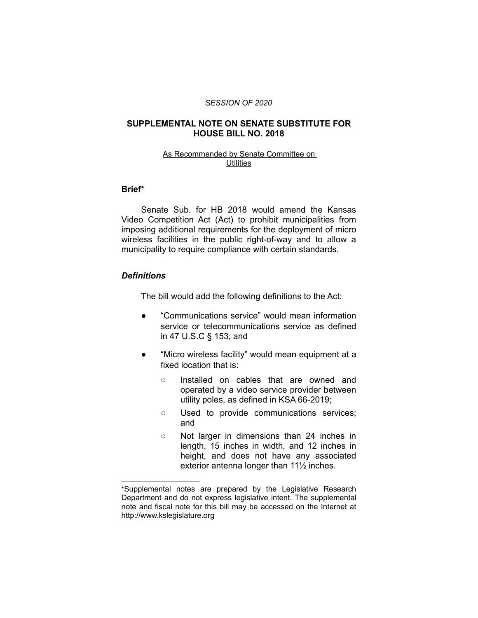#### *SESSION OF 2020*

### **SUPPLEMENTAL NOTE ON SENATE SUBSTITUTE FOR HOUSE BILL NO. 2018**

#### As Recommended by Senate Committee on **Utilities**

# **Brief\***

Senate Sub. for HB 2018 would amend the Kansas Video Competition Act (Act) to prohibit municipalities from imposing additional requirements for the deployment of micro wireless facilities in the public right-of-way and to allow a municipality to require compliance with certain standards.

# *Definitions*

 $\overline{\phantom{a}}$  , where  $\overline{\phantom{a}}$  , where  $\overline{\phantom{a}}$ 

The bill would add the following definitions to the Act:

- "Communications service" would mean information service or telecommunications service as defined in 47 U.S.C § 153; and
- "Micro wireless facility" would mean equipment at a fixed location that is:
	- Installed on cables that are owned and operated by a video service provider between utility poles, as defined in KSA 66-2019;
	- Used to provide communications services; and
	- Not larger in dimensions than 24 inches in length, 15 inches in width, and 12 inches in height, and does not have any associated exterior antenna longer than 11½ inches.

<sup>\*</sup>Supplemental notes are prepared by the Legislative Research Department and do not express legislative intent. The supplemental note and fiscal note for this bill may be accessed on the Internet at http://www.kslegislature.org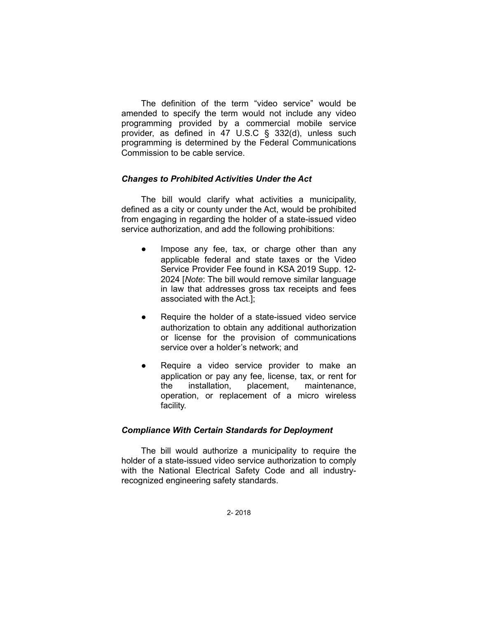The definition of the term "video service" would be amended to specify the term would not include any video programming provided by a commercial mobile service provider, as defined in 47 U.S.C § 332(d), unless such programming is determined by the Federal Communications Commission to be cable service.

# *Changes to Prohibited Activities Under the Act*

The bill would clarify what activities a municipality, defined as a city or county under the Act, would be prohibited from engaging in regarding the holder of a state-issued video service authorization, and add the following prohibitions:

- Impose any fee, tax, or charge other than any applicable federal and state taxes or the Video Service Provider Fee found in KSA 2019 Supp. 12- 2024 [*Note*: The bill would remove similar language in law that addresses gross tax receipts and fees associated with the Act.];
- Require the holder of a state-issued video service authorization to obtain any additional authorization or license for the provision of communications service over a holder's network; and
- Require a video service provider to make an application or pay any fee, license, tax, or rent for the installation, placement, maintenance, operation, or replacement of a micro wireless facility.

# *Compliance With Certain Standards for Deployment*

The bill would authorize a municipality to require the holder of a state-issued video service authorization to comply with the National Electrical Safety Code and all industryrecognized engineering safety standards.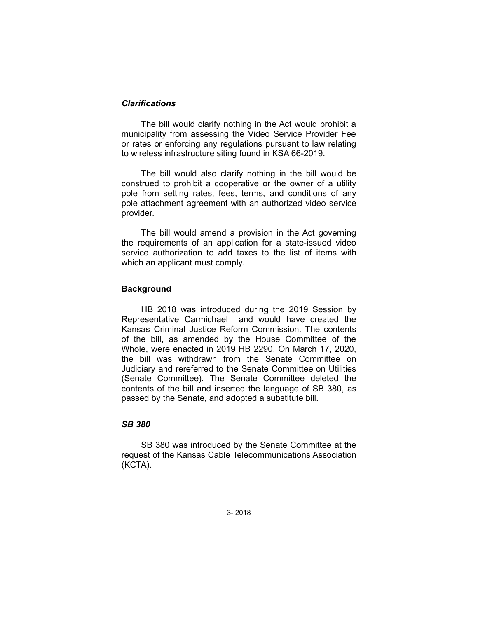# *Clarifications*

The bill would clarify nothing in the Act would prohibit a municipality from assessing the Video Service Provider Fee or rates or enforcing any regulations pursuant to law relating to wireless infrastructure siting found in KSA 66-2019.

The bill would also clarify nothing in the bill would be construed to prohibit a cooperative or the owner of a utility pole from setting rates, fees, terms, and conditions of any pole attachment agreement with an authorized video service provider.

The bill would amend a provision in the Act governing the requirements of an application for a state-issued video service authorization to add taxes to the list of items with which an applicant must comply.

### **Background**

HB 2018 was introduced during the 2019 Session by Representative Carmichael and would have created the Kansas Criminal Justice Reform Commission. The contents of the bill, as amended by the House Committee of the Whole, were enacted in 2019 HB 2290. On March 17, 2020, the bill was withdrawn from the Senate Committee on Judiciary and rereferred to the Senate Committee on Utilities (Senate Committee). The Senate Committee deleted the contents of the bill and inserted the language of SB 380, as passed by the Senate, and adopted a substitute bill.

# *SB 380*

SB 380 was introduced by the Senate Committee at the request of the Kansas Cable Telecommunications Association (KCTA).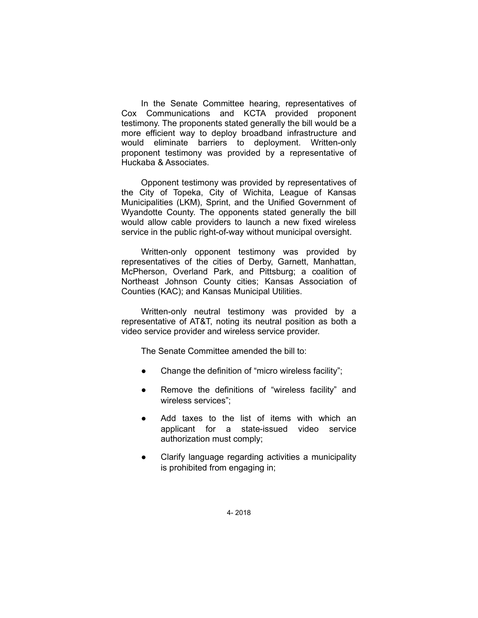In the Senate Committee hearing, representatives of Cox Communications and KCTA provided proponent testimony. The proponents stated generally the bill would be a more efficient way to deploy broadband infrastructure and would eliminate barriers to deployment. Written-only proponent testimony was provided by a representative of Huckaba & Associates.

Opponent testimony was provided by representatives of the City of Topeka, City of Wichita, League of Kansas Municipalities (LKM), Sprint, and the Unified Government of Wyandotte County. The opponents stated generally the bill would allow cable providers to launch a new fixed wireless service in the public right-of-way without municipal oversight.

Written-only opponent testimony was provided by representatives of the cities of Derby, Garnett, Manhattan, McPherson, Overland Park, and Pittsburg; a coalition of Northeast Johnson County cities; Kansas Association of Counties (KAC); and Kansas Municipal Utilities.

Written-only neutral testimony was provided by a representative of AT&T, noting its neutral position as both a video service provider and wireless service provider.

The Senate Committee amended the bill to:

- Change the definition of "micro wireless facility";
- Remove the definitions of "wireless facility" and wireless services";
- Add taxes to the list of items with which an applicant for a state-issued video service authorization must comply;
- Clarify language regarding activities a municipality is prohibited from engaging in;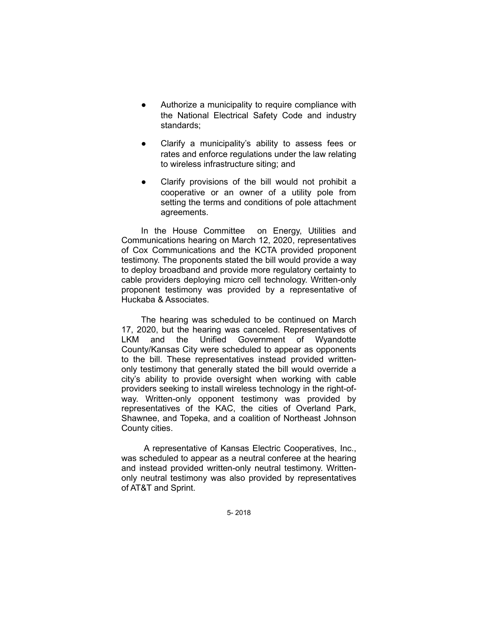- Authorize a municipality to require compliance with the National Electrical Safety Code and industry standards;
- Clarify a municipality's ability to assess fees or rates and enforce regulations under the law relating to wireless infrastructure siting; and
- Clarify provisions of the bill would not prohibit a cooperative or an owner of a utility pole from setting the terms and conditions of pole attachment agreements.

In the House Committee on Energy, Utilities and Communications hearing on March 12, 2020, representatives of Cox Communications and the KCTA provided proponent testimony. The proponents stated the bill would provide a way to deploy broadband and provide more regulatory certainty to cable providers deploying micro cell technology. Written-only proponent testimony was provided by a representative of Huckaba & Associates.

The hearing was scheduled to be continued on March 17, 2020, but the hearing was canceled. Representatives of LKM and the Unified Government of Wyandotte County/Kansas City were scheduled to appear as opponents to the bill. These representatives instead provided writtenonly testimony that generally stated the bill would override a city's ability to provide oversight when working with cable providers seeking to install wireless technology in the right-ofway. Written-only opponent testimony was provided by representatives of the KAC, the cities of Overland Park, Shawnee, and Topeka, and a coalition of Northeast Johnson County cities.

A representative of Kansas Electric Cooperatives, Inc., was scheduled to appear as a neutral conferee at the hearing and instead provided written-only neutral testimony. Writtenonly neutral testimony was also provided by representatives of AT&T and Sprint.